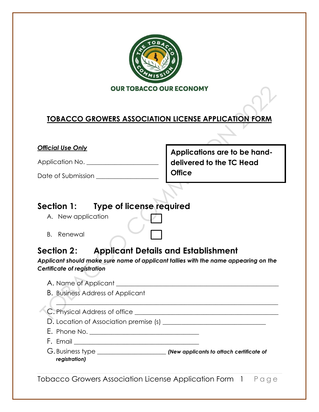

### **TOBACCO GROWERS ASSOCIATION LICENSE APPLICATION FORM**

#### *Official Use Only*

Application No. \_\_\_\_\_\_\_\_\_\_\_\_\_\_\_\_\_\_\_\_\_\_\_

Date of Submission \_\_\_\_\_\_\_\_\_\_\_\_\_\_\_\_\_\_\_\_

**Applications are to be handdelivered to the TC Head Office** 

### **Section 1: Type of license required**

- A. New application
- B. Renewal

# **Section 2: Applicant Details and Establishment**

*Applicant should make sure name of applicant tallies with the name appearing on the Certificate of registration*

| <b>B. Business Address of Applicant</b> |  |
|-----------------------------------------|--|
|                                         |  |
| D. Location of Association premise (s)  |  |
|                                         |  |
|                                         |  |
| registration)                           |  |

Tobacco Growers Association License Application Form 1 Page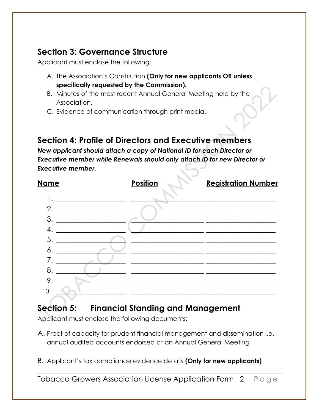### **Section 3: Governance Structure**

Applicant must enclose the following:

- A. The Association's Constitution **(Only for new applicants OR unless specifically requested by the Commission).**
- B. Minutes of the most recent Annual General Meeting held by the Association.
- C. Evidence of communication through print media.

# **Section 4: Profile of Directors and Executive members**

*New applicant should attach a copy of National ID for each Director or Executive member while Renewals should only attach ID for new Director or Executive member.*

| <u>Name</u> | <b>Position</b> | <b>Registration Number</b> |
|-------------|-----------------|----------------------------|
|             |                 |                            |
| 2.          |                 |                            |
| 3           |                 |                            |
| 4           |                 |                            |
| 5           |                 |                            |
| 6.          |                 |                            |
|             |                 |                            |
| 8           |                 |                            |
| 9           |                 |                            |
| 10.         |                 |                            |
|             |                 |                            |

# **Section 5: Financial Standing and Management**

Applicant must enclose the following documents:

- A. Proof of capacity for prudent financial management and dissemination i.e. annual audited accounts endorsed at an Annual General Meeting
- B. Applicant's tax compliance evidence details **(Only for new applicants)**

Tobacco Growers Association License Application Form 2 Page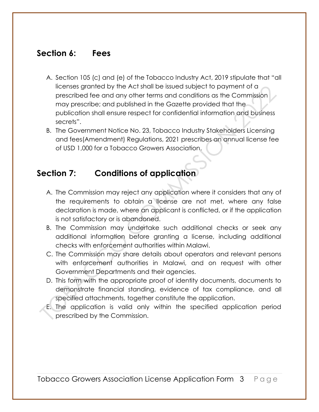#### **Section 6: Fees**

- A. Section 105 (c) and (e) of the Tobacco Industry Act, 2019 stipulate that "all licenses granted by the Act shall be issued subject to payment of a prescribed fee and any other terms and conditions as the Commission may prescribe; and published in the Gazette provided that the publication shall ensure respect for confidential information and business secrets".
- B. The Government Notice No. 23, Tobacco Industry Stakeholders Licensing and fees(Amendment) Regulations, 2021 prescribes an annual license fee of USD 1,000 for a Tobacco Growers Association.

### **Section 7: Conditions of application**

- A. The Commission may reject any application where it considers that any of the requirements to obtain a license are not met, where any false declaration is made, where an applicant is conflicted, or if the application is not satisfactory or is abandoned.
- B. The Commission may undertake such additional checks or seek any additional information before granting a license, including additional checks with enforcement authorities within Malawi.
- C. The Commission may share details about operators and relevant persons with enforcement authorities in Malawi, and on request with other Government Departments and their agencies.
- D. This form with the appropriate proof of identity documents, documents to demonstrate financial standing, evidence of tax compliance, and all specified attachments, together constitute the application.
- E. The application is valid only within the specified application period prescribed by the Commission.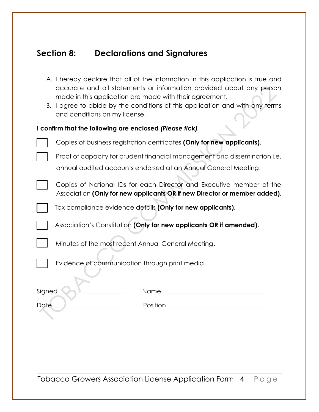### **Section 8: Declarations and Signatures**

- A. I hereby declare that all of the information in this application is true and accurate and all statements or information provided about any person made in this application are made with their agreement.
- B. I agree to abide by the conditions of this application and with any terms and conditions on my license.

| I confirm that the following are enclosed (Please tick) |                                                                                                                                                   |  |
|---------------------------------------------------------|---------------------------------------------------------------------------------------------------------------------------------------------------|--|
|                                                         | Copies of business registration certificates (Only for new applicants).                                                                           |  |
|                                                         | Proof of capacity for prudent financial management and dissemination i.e.<br>annual audited accounts endorsed at an Annual General Meeting.       |  |
|                                                         | Copies of National IDs for each Director and Executive member of the<br>Association (Only for new applicants OR if new Director or member added). |  |
|                                                         | Tax compliance evidence details (Only for new applicants).                                                                                        |  |
|                                                         | Association's Constitution (Only for new applicants OR if amended).                                                                               |  |
|                                                         | Minutes of the most recent Annual General Meeting.                                                                                                |  |
|                                                         | Evidence of communication through print media                                                                                                     |  |

| Signed      | Name     |
|-------------|----------|
|             |          |
| <b>Date</b> | Position |